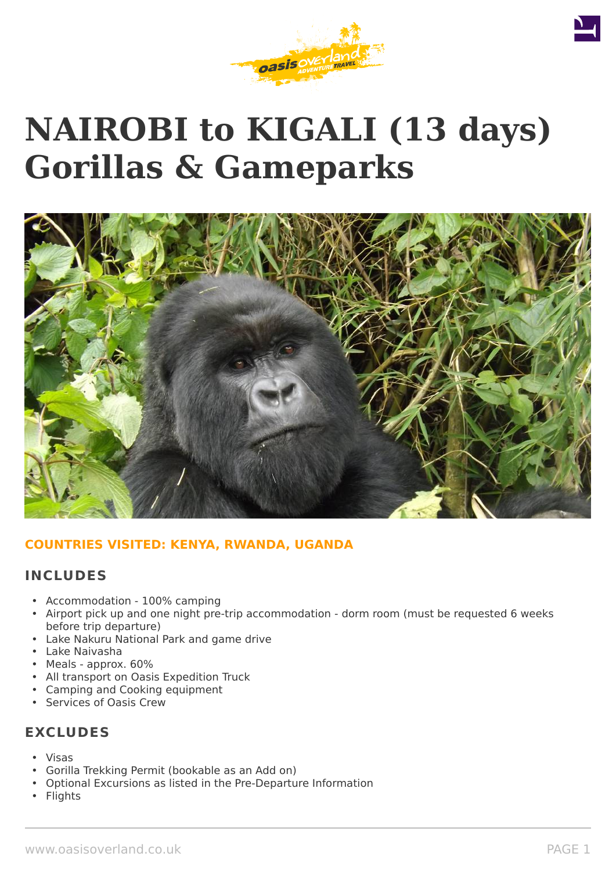

# **NAIROBI to KIGALI (13 days) Gorillas & Gameparks**



# **COUNTRIES VISITED: KENYA, RWANDA, UGANDA**

# **INCLUDES**

- Accommodation 100% camping
- Airport pick up and one night pre-trip accommodation dorm room (must be requested 6 weeks before trip departure)
- Lake Nakuru National Park and game drive
- Lake Naivasha
- Meals approx. 60%
- All transport on Oasis Expedition Truck
- Camping and Cooking equipment
- Services of Oasis Crew

# **EXCLUDES**

- Visas
- Gorilla Trekking Permit (bookable as an Add on)
- Optional Excursions as listed in the Pre-Departure Information
- **Flights**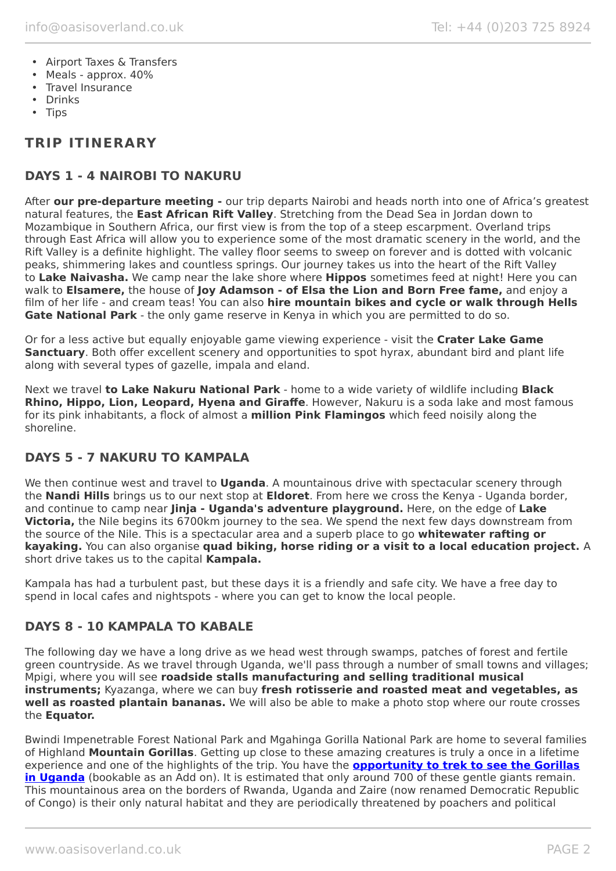- Airport Taxes & Transfers
- Meals approx. 40%
- Travel Insurance
- Drinks
- Tips

# **TRIP ITINERARY**

# **DAYS 1 - 4 NAIROBI TO NAKURU**

After **our pre-departure meeting -** our trip departs Nairobi and heads north into one of Africa's greatest natural features, the **East African Rift Valley**. Stretching from the Dead Sea in Jordan down to Mozambique in Southern Africa, our first view is from the top of a steep escarpment. Overland trips through East Africa will allow you to experience some of the most dramatic scenery in the world, and the Rift Valley is a definite highlight. The valley floor seems to sweep on forever and is dotted with volcanic peaks, shimmering lakes and countless springs. Our journey takes us into the heart of the Rift Valley to **Lake Naivasha.** We camp near the lake shore where **Hippos** sometimes feed at night! Here you can walk to **Elsamere,** the house of **Joy Adamson - of Elsa the Lion and Born Free fame,** and enjoy a film of her life - and cream teas! You can also **hire mountain bikes and cycle or walk through Hells Gate National Park** - the only game reserve in Kenya in which you are permitted to do so.

Or for a less active but equally enjoyable game viewing experience - visit the **Crater Lake Game Sanctuary**. Both offer excellent scenery and opportunities to spot hyrax, abundant bird and plant life along with several types of gazelle, impala and eland.

Next we travel **to Lake Nakuru National Park** - home to a wide variety of wildlife including **Black Rhino, Hippo, Lion, Leopard, Hyena and Giraffe**. However, Nakuru is a soda lake and most famous for its pink inhabitants, a flock of almost a **million Pink Flamingos** which feed noisily along the shoreline.

# **DAYS 5 - 7 NAKURU TO KAMPALA**

We then continue west and travel to **Uganda**. A mountainous drive with spectacular scenery through the **Nandi Hills** brings us to our next stop at **Eldoret**. From here we cross the Kenya - Uganda border, and continue to camp near **Jinja - Uganda's adventure playground.** Here, on the edge of **Lake Victoria,** the Nile begins its 6700km journey to the sea. We spend the next few days downstream from the source of the Nile. This is a spectacular area and a superb place to go **whitewater rafting or kayaking.** You can also organise **quad biking, horse riding or a visit to a local education project.** A short drive takes us to the capital **Kampala.**

Kampala has had a turbulent past, but these days it is a friendly and safe city. We have a free day to spend in local cafes and nightspots - where you can get to know the local people.

### **DAYS 8 - 10 KAMPALA TO KABALE**

The following day we have a long drive as we head west through swamps, patches of forest and fertile green countryside. As we travel through Uganda, we'll pass through a number of small towns and villages; Mpigi, where you will see **roadside stalls manufacturing and selling traditional musical instruments;** Kyazanga, where we can buy **fresh rotisserie and roasted meat and vegetables, as well as roasted plantain bananas.** We will also be able to make a photo stop where our route crosses the **Equator.**

Bwindi Impenetrable Forest National Park and Mgahinga Gorilla National Park are home to several families of Highland **Mountain Gorillas**. Getting up close to these amazing creatures is truly a once in a lifetime experience and one of the highlights of the trip. You have the **[opportunity to trek to see the Gorillas](https://www.oasisoverland.co.uk/mountain-gorilla-trek) [in Uganda](https://www.oasisoverland.co.uk/mountain-gorilla-trek)** (bookable as an Add on). It is estimated that only around 700 of these gentle giants remain. This mountainous area on the borders of Rwanda, Uganda and Zaire (now renamed Democratic Republic of Congo) is their only natural habitat and they are periodically threatened by poachers and political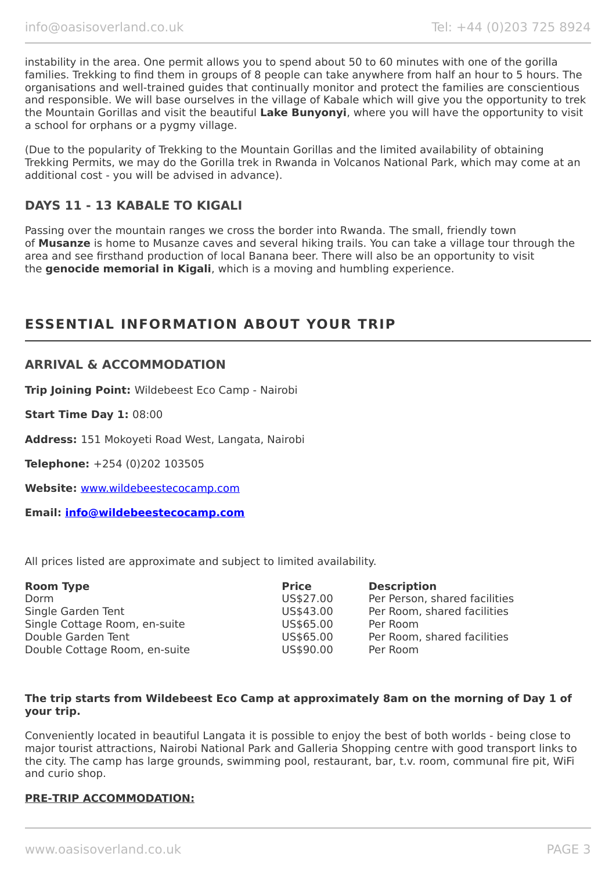instability in the area. One permit allows you to spend about 50 to 60 minutes with one of the gorilla families. Trekking to find them in groups of 8 people can take anywhere from half an hour to 5 hours. The organisations and well-trained guides that continually monitor and protect the families are conscientious and responsible. We will base ourselves in the village of Kabale which will give you the opportunity to trek the Mountain Gorillas and visit the beautiful **Lake Bunyonyi**, where you will have the opportunity to visit a school for orphans or a pygmy village.

(Due to the popularity of Trekking to the Mountain Gorillas and the limited availability of obtaining Trekking Permits, we may do the Gorilla trek in Rwanda in Volcanos National Park, which may come at an additional cost - you will be advised in advance).

# **DAYS 11 - 13 KABALE TO KIGALI**

Passing over the mountain ranges we cross the border into Rwanda. The small, friendly town of **Musanze** is home to Musanze caves and several hiking trails. You can take a village tour through the area and see firsthand production of local Banana beer. There will also be an opportunity to visit the **genocide memorial in Kigali**, which is a moving and humbling experience.

# **ESSENTIAL INFORMATION ABOUT YOUR TRIP**

# **ARRIVAL & ACCOMMODATION**

**Trip Joining Point:** Wildebeest Eco Camp - Nairobi

**Start Time Day 1:** 08:00

**Address:** 151 Mokoyeti Road West, Langata, Nairobi

**Telephone:** +254 (0)202 103505

**Website:** [www.wildebeestecocamp.com](http://www.wildebeestecocamp.com/)

**Email: [info@wildebeestecocamp.com](mailto:info@wildebeestecocamp.com)**

All prices listed are approximate and subject to limited availability.

| <b>Room Type</b>              | <b>Price</b> | <b>Description</b>            |
|-------------------------------|--------------|-------------------------------|
| Dorm                          | US\$27.00    | Per Person, shared facilities |
| Single Garden Tent            | US\$43.00    | Per Room, shared facilities   |
| Single Cottage Room, en-suite | US\$65.00    | Per Room                      |
| Double Garden Tent            | US\$65.00    | Per Room, shared facilities   |
| Double Cottage Room, en-suite | US\$90.00    | Per Room                      |

#### **The trip starts from Wildebeest Eco Camp at approximately 8am on the morning of Day 1 of your trip.**

Conveniently located in beautiful Langata it is possible to enjoy the best of both worlds - being close to major tourist attractions, Nairobi National Park and Galleria Shopping centre with good transport links to the city. The camp has large grounds, swimming pool, restaurant, bar, t.v. room, communal fire pit, WiFi and curio shop.

#### **PRE-TRIP ACCOMMODATION:**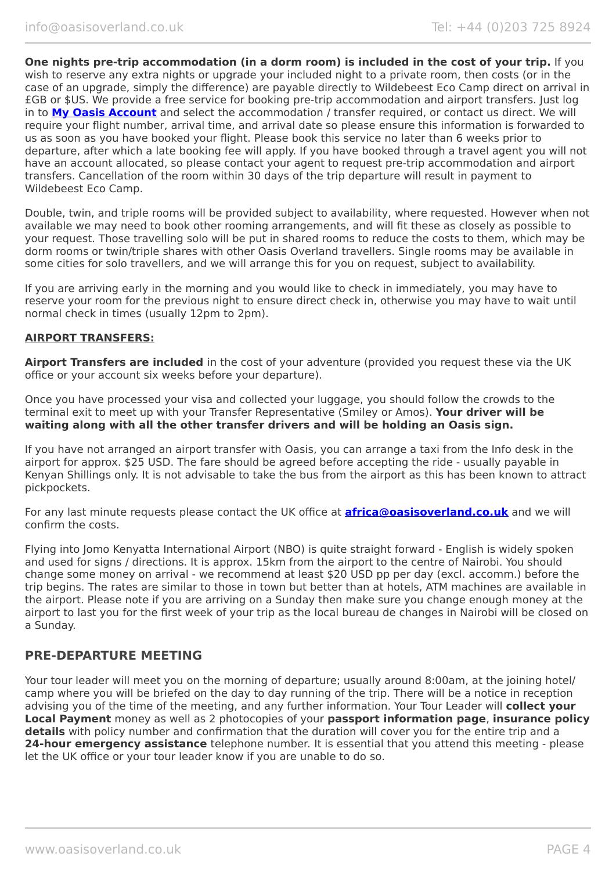**One nights pre-trip accommodation (in a dorm room) is included in the cost of your trip.** If you wish to reserve any extra nights or upgrade your included night to a private room, then costs (or in the case of an upgrade, simply the difference) are payable directly to Wildebeest Eco Camp direct on arrival in £GB or \$US. We provide a free service for booking pre-trip accommodation and airport transfers. Just log in to **[My Oasis Account](https://oasisportal.eecsoftware.com/login.php)** and select the accommodation / transfer required, or contact us direct. We will require your flight number, arrival time, and arrival date so please ensure this information is forwarded to us as soon as you have booked your flight. Please book this service no later than 6 weeks prior to departure, after which a late booking fee will apply. If you have booked through a travel agent you will not have an account allocated, so please contact your agent to request pre-trip accommodation and airport transfers. Cancellation of the room within 30 days of the trip departure will result in payment to Wildebeest Eco Camp.

Double, twin, and triple rooms will be provided subject to availability, where requested. However when not available we may need to book other rooming arrangements, and will fit these as closely as possible to your request. Those travelling solo will be put in shared rooms to reduce the costs to them, which may be dorm rooms or twin/triple shares with other Oasis Overland travellers. Single rooms may be available in some cities for solo travellers, and we will arrange this for you on request, subject to availability.

If you are arriving early in the morning and you would like to check in immediately, you may have to reserve your room for the previous night to ensure direct check in, otherwise you may have to wait until normal check in times (usually 12pm to 2pm).

#### **AIRPORT TRANSFERS:**

**Airport Transfers are included** in the cost of your adventure (provided you request these via the UK office or your account six weeks before your departure).

Once you have processed your visa and collected your luggage, you should follow the crowds to the terminal exit to meet up with your Transfer Representative (Smiley or Amos). **Your driver will be waiting along with all the other transfer drivers and will be holding an Oasis sign.**

If you have not arranged an airport transfer with Oasis, you can arrange a taxi from the Info desk in the airport for approx. \$25 USD. The fare should be agreed before accepting the ride - usually payable in Kenyan Shillings only. It is not advisable to take the bus from the airport as this has been known to attract pickpockets.

For any last minute requests please contact the UK office at **[africa@oasisoverland.co.uk](mailto:africa@oasisoverland.co.uk)** and we will confirm the costs.

Flying into Jomo Kenyatta International Airport (NBO) is quite straight forward - English is widely spoken and used for signs / directions. It is approx. 15km from the airport to the centre of Nairobi. You should change some money on arrival - we recommend at least \$20 USD pp per day (excl. accomm.) before the trip begins. The rates are similar to those in town but better than at hotels, ATM machines are available in the airport. Please note if you are arriving on a Sunday then make sure you change enough money at the airport to last you for the first week of your trip as the local bureau de changes in Nairobi will be closed on a Sunday.

# **PRE-DEPARTURE MEETING**

Your tour leader will meet you on the morning of departure; usually around 8:00am, at the joining hotel/ camp where you will be briefed on the day to day running of the trip. There will be a notice in reception advising you of the time of the meeting, and any further information. Your Tour Leader will **collect your Local Payment** money as well as 2 photocopies of your **passport information page**, **insurance policy details** with policy number and confirmation that the duration will cover you for the entire trip and a **24-hour emergency assistance** telephone number. It is essential that you attend this meeting - please let the UK office or your tour leader know if you are unable to do so.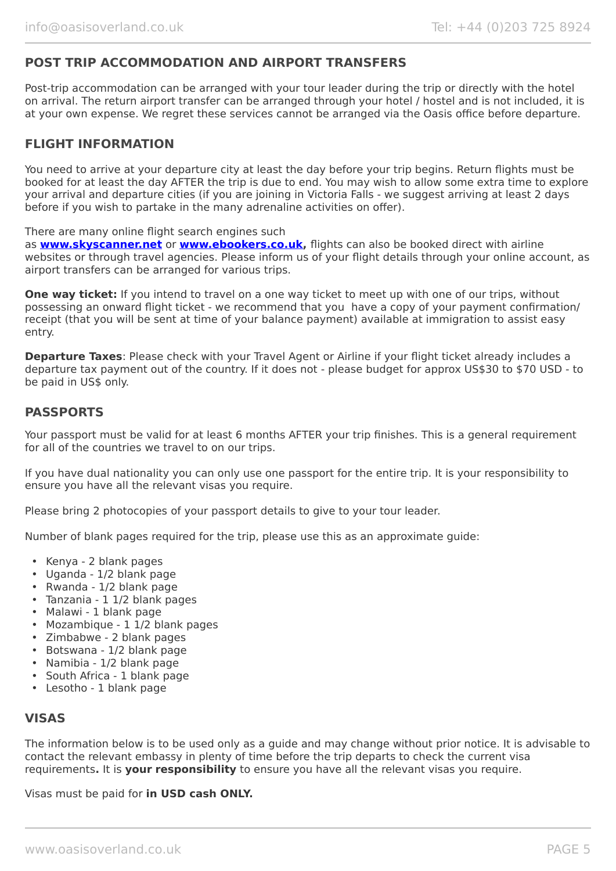# **POST TRIP ACCOMMODATION AND AIRPORT TRANSFERS**

Post-trip accommodation can be arranged with your tour leader during the trip or directly with the hotel on arrival. The return airport transfer can be arranged through your hotel / hostel and is not included, it is at your own expense. We regret these services cannot be arranged via the Oasis office before departure.

## **FLIGHT INFORMATION**

You need to arrive at your departure city at least the day before your trip begins. Return flights must be booked for at least the day AFTER the trip is due to end. You may wish to allow some extra time to explore your arrival and departure cities (if you are joining in Victoria Falls - we suggest arriving at least 2 days before if you wish to partake in the many adrenaline activities on offer).

There are many online flight search engines such

as **[www.skyscanner.net](http://www.dpbolvw.net/click-5720161-10639348)** or **[www.ebookers.co.uk,](http://www.ebookers.co.uk/)** flights can also be booked direct with airline websites or through travel agencies. Please inform us of your flight details through your online account, as airport transfers can be arranged for various trips.

**One way ticket:** If you intend to travel on a one way ticket to meet up with one of our trips, without possessing an onward flight ticket - we recommend that you have a copy of your payment confirmation/ receipt (that you will be sent at time of your balance payment) available at immigration to assist easy entry.

**Departure Taxes**: Please check with your Travel Agent or Airline if your flight ticket already includes a departure tax payment out of the country. If it does not - please budget for approx US\$30 to \$70 USD - to be paid in US\$ only.

### **PASSPORTS**

Your passport must be valid for at least 6 months AFTER your trip finishes. This is a general requirement for all of the countries we travel to on our trips.

If you have dual nationality you can only use one passport for the entire trip. It is your responsibility to ensure you have all the relevant visas you require.

Please bring 2 photocopies of your passport details to give to your tour leader.

Number of blank pages required for the trip, please use this as an approximate guide:

- Kenya 2 blank pages
- Uganda 1/2 blank page
- Rwanda 1/2 blank page
- Tanzania 1 1/2 blank pages
- Malawi 1 blank page
- Mozambique 1 1/2 blank pages
- Zimbabwe 2 blank pages
- Botswana 1/2 blank page
- Namibia 1/2 blank page
- South Africa 1 blank page
- Lesotho 1 blank page

# **VISAS**

The information below is to be used only as a guide and may change without prior notice. It is advisable to contact the relevant embassy in plenty of time before the trip departs to check the current visa requirements**.** It is **your responsibility** to ensure you have all the relevant visas you require.

Visas must be paid for **in USD cash ONLY.**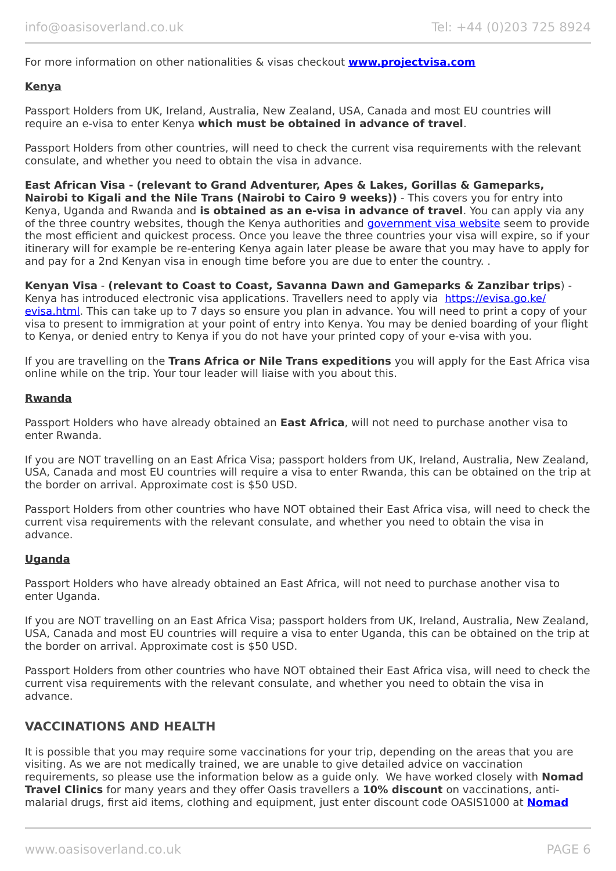For more information on other nationalities & visas checkout **[www.projectvisa.com](http://www.projectvisa.com/)**

#### **Kenya**

Passport Holders from UK, Ireland, Australia, New Zealand, USA, Canada and most EU countries will require an e-visa to enter Kenya **which must be obtained in advance of travel**.

Passport Holders from other countries, will need to check the current visa requirements with the relevant consulate, and whether you need to obtain the visa in advance.

#### **East African Visa - (relevant to Grand Adventurer, Apes & Lakes, Gorillas & Gameparks,**

**Nairobi to Kigali and the Nile Trans (Nairobi to Cairo 9 weeks))** - This covers you for entry into Kenya, Uganda and Rwanda and **is obtained as an e-visa in advance of travel**. You can apply via any of the three country websites, though the Kenya authorities and [government visa website](https://evisa.go.ke/evisa.html) seem to provide the most efficient and quickest process. Once you leave the three countries your visa will expire, so if your itinerary will for example be re-entering Kenya again later please be aware that you may have to apply for and pay for a 2nd Kenyan visa in enough time before you are due to enter the country. .

#### **Kenyan Visa** - **(relevant to Coast to Coast, Savanna Dawn and Gameparks & Zanzibar trips**) -

Kenya has introduced electronic visa applications. Travellers need to apply via [https://evisa.go.ke/](https://evisa.go.ke/evisa.html) [evisa.html](https://evisa.go.ke/evisa.html). This can take up to 7 days so ensure you plan in advance. You will need to print a copy of your visa to present to immigration at your point of entry into Kenya. You may be denied boarding of your flight to Kenya, or denied entry to Kenya if you do not have your printed copy of your e-visa with you.

If you are travelling on the **Trans Africa or Nile Trans expeditions** you will apply for the East Africa visa online while on the trip. Your tour leader will liaise with you about this.

#### **Rwanda**

Passport Holders who have already obtained an **East Africa**, will not need to purchase another visa to enter Rwanda.

If you are NOT travelling on an East Africa Visa; passport holders from UK, Ireland, Australia, New Zealand, USA, Canada and most EU countries will require a visa to enter Rwanda, this can be obtained on the trip at the border on arrival. Approximate cost is \$50 USD.

Passport Holders from other countries who have NOT obtained their East Africa visa, will need to check the current visa requirements with the relevant consulate, and whether you need to obtain the visa in advance.

#### **Uganda**

Passport Holders who have already obtained an East Africa, will not need to purchase another visa to enter Uganda.

If you are NOT travelling on an East Africa Visa; passport holders from UK, Ireland, Australia, New Zealand, USA, Canada and most EU countries will require a visa to enter Uganda, this can be obtained on the trip at the border on arrival. Approximate cost is \$50 USD.

Passport Holders from other countries who have NOT obtained their East Africa visa, will need to check the current visa requirements with the relevant consulate, and whether you need to obtain the visa in advance.

### **VACCINATIONS AND HEALTH**

It is possible that you may require some vaccinations for your trip, depending on the areas that you are visiting. As we are not medically trained, we are unable to give detailed advice on vaccination requirements, so please use the information below as a guide only. We have worked closely with **Nomad Travel Clinics** for many years and they offer Oasis travellers a **10% discount** on vaccinations, antimalarial drugs, first aid items, clothing and equipment, just enter discount code OASIS1000 at **[Nomad](http://www.nomadtravel.co.uk/)**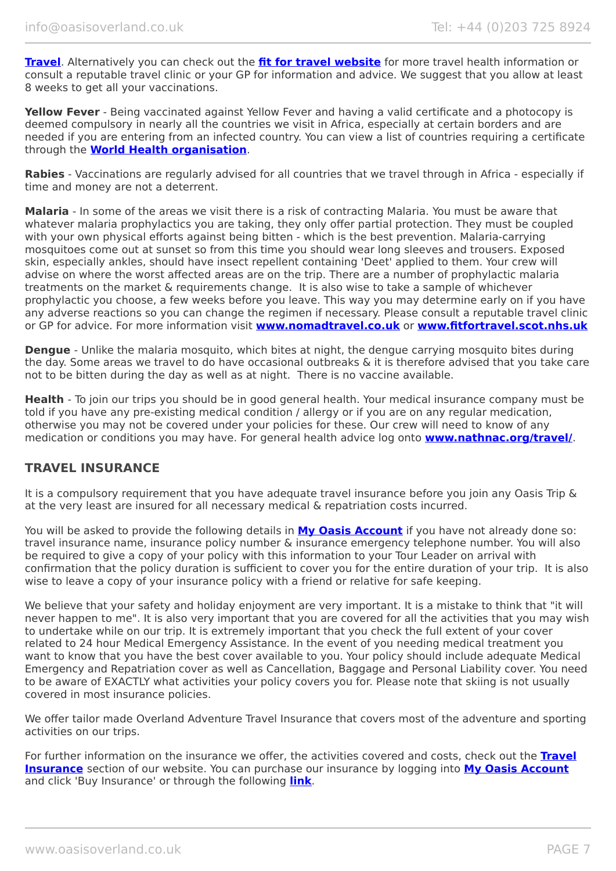**[Travel](http://www.nomadtravel.co.uk/)**. Alternatively you can check out the **[fit for travel website](https://www.fitfortravel.nhs.uk/home)** for more travel health information or consult a reputable travel clinic or your GP for information and advice. We suggest that you allow at least 8 weeks to get all your vaccinations.

**Yellow Fever** - Being vaccinated against Yellow Fever and having a valid certificate and a photocopy is deemed compulsory in nearly all the countries we visit in Africa, especially at certain borders and are needed if you are entering from an infected country. You can view a list of countries requiring a certificate through the **[World Health organisation](http://www.who.int/ith/ITH_country_list.pdf)**.

**Rabies** - Vaccinations are regularly advised for all countries that we travel through in Africa - especially if time and money are not a deterrent.

**Malaria** - In some of the areas we visit there is a risk of contracting Malaria. You must be aware that whatever malaria prophylactics you are taking, they only offer partial protection. They must be coupled with your own physical efforts against being bitten - which is the best prevention. Malaria-carrying mosquitoes come out at sunset so from this time you should wear long sleeves and trousers. Exposed skin, especially ankles, should have insect repellent containing 'Deet' applied to them. Your crew will advise on where the worst affected areas are on the trip. There are a number of prophylactic malaria treatments on the market & requirements change. It is also wise to take a sample of whichever prophylactic you choose, a few weeks before you leave. This way you may determine early on if you have any adverse reactions so you can change the regimen if necessary. Please consult a reputable travel clinic or GP for advice. For more information visit **[www.nomadtravel.co.uk](http://www.nomadtravel.co.uk/)** or **[www.fitfortravel.scot.nhs.uk](http://www.fitfortravel.scot.nhs.uk/)**

**Dengue** - Unlike the malaria mosquito, which bites at night, the dengue carrying mosquito bites during the day. Some areas we travel to do have occasional outbreaks & it is therefore advised that you take care not to be bitten during the day as well as at night. There is no vaccine available.

**Health** - To join our trips you should be in good general health. Your medical insurance company must be told if you have any pre-existing medical condition / allergy or if you are on any regular medication, otherwise you may not be covered under your policies for these. Our crew will need to know of any medication or conditions you may have. For general health advice log onto **[www.nathnac.org/travel/](http://www.nathnac.org/travel/)**.

# **TRAVEL INSURANCE**

It is a compulsory requirement that you have adequate travel insurance before you join any Oasis Trip & at the very least are insured for all necessary medical & repatriation costs incurred.

You will be asked to provide the following details in **My [Oasis Account](https://oasisportal.eecsoftware.com/)** if you have not already done so: travel insurance name, insurance policy number & insurance emergency telephone number. You will also be required to give a copy of your policy with this information to your Tour Leader on arrival with confirmation that the policy duration is sufficient to cover you for the entire duration of your trip. It is also wise to leave a copy of your insurance policy with a friend or relative for safe keeping.

We believe that your safety and holiday enjoyment are very important. It is a mistake to think that "it will never happen to me". It is also very important that you are covered for all the activities that you may wish to undertake while on our trip. It is extremely important that you check the full extent of your cover related to 24 hour Medical Emergency Assistance. In the event of you needing medical treatment you want to know that you have the best cover available to you. Your policy should include adequate Medical Emergency and Repatriation cover as well as Cancellation, Baggage and Personal Liability cover. You need to be aware of EXACTLY what activities your policy covers you for. Please note that skiing is not usually covered in most insurance policies.

We offer tailor made Overland Adventure Travel Insurance that covers most of the adventure and sporting activities on our trips.

For further information on the insurance we offer, the activities covered and costs, check out the **[Travel](https://www.oasisoverland.co.uk/travel-insurance) [Insurance](https://www.oasisoverland.co.uk/travel-insurance)** section of our website. You can purchase our insurance by logging into **[My Oasis Account](https://oasisportal.eecsoftware.com/)** and click 'Buy Insurance' or through the following **[link](https://www.campbellirvinedirect.com/oasisoverland/)**.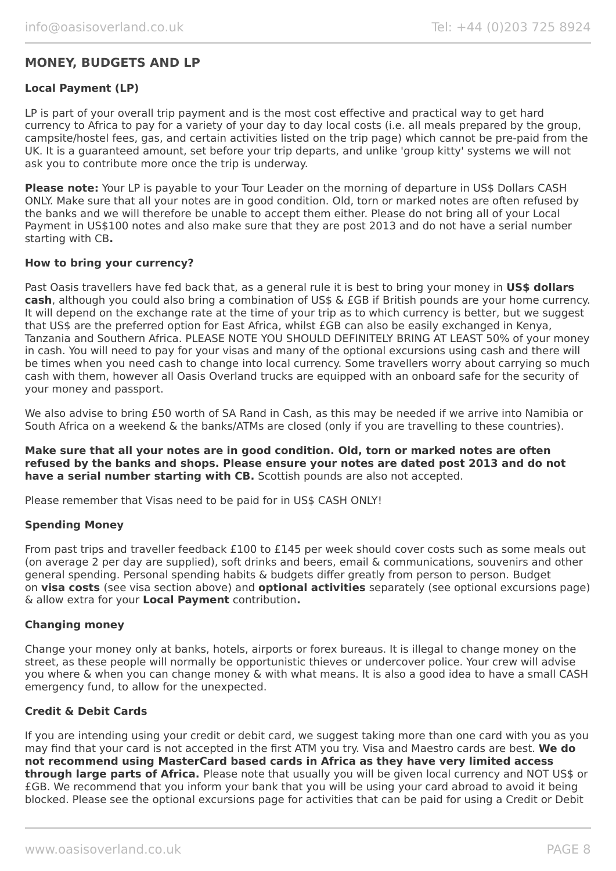# **MONEY, BUDGETS AND LP**

#### **Local Payment (LP)**

LP is part of your overall trip payment and is the most cost effective and practical way to get hard currency to Africa to pay for a variety of your day to day local costs (i.e. all meals prepared by the group, campsite/hostel fees, gas, and certain activities listed on the trip page) which cannot be pre-paid from the UK. It is a guaranteed amount, set before your trip departs, and unlike 'group kitty' systems we will not ask you to contribute more once the trip is underway.

**Please note:** Your LP is payable to your Tour Leader on the morning of departure in US\$ Dollars CASH ONLY. Make sure that all your notes are in good condition. Old, torn or marked notes are often refused by the banks and we will therefore be unable to accept them either. Please do not bring all of your Local Payment in US\$100 notes and also make sure that they are post 2013 and do not have a serial number starting with CB**.**

#### **How to bring your currency?**

Past Oasis travellers have fed back that, as a general rule it is best to bring your money in **US\$ dollars cash**, although you could also bring a combination of US\$ & £GB if British pounds are your home currency. It will depend on the exchange rate at the time of your trip as to which currency is better, but we suggest that US\$ are the preferred option for East Africa, whilst £GB can also be easily exchanged in Kenya, Tanzania and Southern Africa. PLEASE NOTE YOU SHOULD DEFINITELY BRING AT LEAST 50% of your money in cash. You will need to pay for your visas and many of the optional excursions using cash and there will be times when you need cash to change into local currency. Some travellers worry about carrying so much cash with them, however all Oasis Overland trucks are equipped with an onboard safe for the security of your money and passport.

We also advise to bring £50 worth of SA Rand in Cash, as this may be needed if we arrive into Namibia or South Africa on a weekend & the banks/ATMs are closed (only if you are travelling to these countries).

**Make sure that all your notes are in good condition. Old, torn or marked notes are often refused by the banks and shops. Please ensure your notes are dated post 2013 and do not have a serial number starting with CB.** Scottish pounds are also not accepted.

Please remember that Visas need to be paid for in US\$ CASH ONLY!

#### **Spending Money**

From past trips and traveller feedback £100 to £145 per week should cover costs such as some meals out (on average 2 per day are supplied), soft drinks and beers, email & communications, souvenirs and other general spending. Personal spending habits & budgets differ greatly from person to person. Budget on **visa costs** (see visa section above) and **optional activities** separately (see optional excursions page) & allow extra for your **Local Payment** contribution**.**

#### **Changing money**

Change your money only at banks, hotels, airports or forex bureaus. It is illegal to change money on the street, as these people will normally be opportunistic thieves or undercover police. Your crew will advise you where & when you can change money & with what means. It is also a good idea to have a small CASH emergency fund, to allow for the unexpected.

#### **Credit & Debit Cards**

If you are intending using your credit or debit card, we suggest taking more than one card with you as you may find that your card is not accepted in the first ATM you try. Visa and Maestro cards are best. **We do not recommend using MasterCard based cards in Africa as they have very limited access through large parts of Africa.** Please note that usually you will be given local currency and NOT US\$ or £GB. We recommend that you inform your bank that you will be using your card abroad to avoid it being blocked. Please see the optional excursions page for activities that can be paid for using a Credit or Debit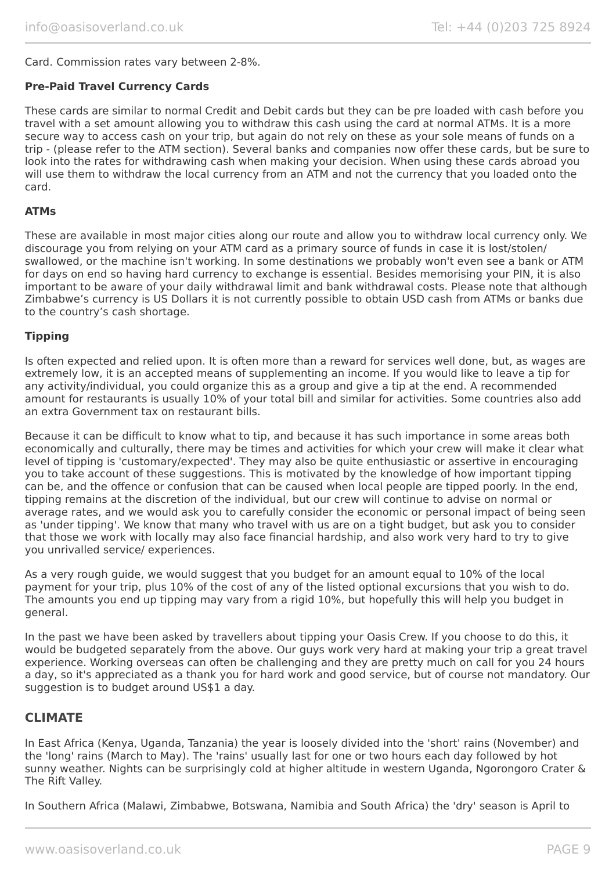#### Card. Commission rates vary between 2-8%.

#### **Pre-Paid Travel Currency Cards**

These cards are similar to normal Credit and Debit cards but they can be pre loaded with cash before you travel with a set amount allowing you to withdraw this cash using the card at normal ATMs. It is a more secure way to access cash on your trip, but again do not rely on these as your sole means of funds on a trip - (please refer to the ATM section). Several banks and companies now offer these cards, but be sure to look into the rates for withdrawing cash when making your decision. When using these cards abroad you will use them to withdraw the local currency from an ATM and not the currency that you loaded onto the card.

#### **ATMs**

These are available in most major cities along our route and allow you to withdraw local currency only. We discourage you from relying on your ATM card as a primary source of funds in case it is lost/stolen/ swallowed, or the machine isn't working. In some destinations we probably won't even see a bank or ATM for days on end so having hard currency to exchange is essential. Besides memorising your PIN, it is also important to be aware of your daily withdrawal limit and bank withdrawal costs. Please note that although Zimbabwe's currency is US Dollars it is not currently possible to obtain USD cash from ATMs or banks due to the country's cash shortage.

#### **Tipping**

Is often expected and relied upon. It is often more than a reward for services well done, but, as wages are extremely low, it is an accepted means of supplementing an income. If you would like to leave a tip for any activity/individual, you could organize this as a group and give a tip at the end. A recommended amount for restaurants is usually 10% of your total bill and similar for activities. Some countries also add an extra Government tax on restaurant bills.

Because it can be difficult to know what to tip, and because it has such importance in some areas both economically and culturally, there may be times and activities for which your crew will make it clear what level of tipping is 'customary/expected'. They may also be quite enthusiastic or assertive in encouraging you to take account of these suggestions. This is motivated by the knowledge of how important tipping can be, and the offence or confusion that can be caused when local people are tipped poorly. In the end, tipping remains at the discretion of the individual, but our crew will continue to advise on normal or average rates, and we would ask you to carefully consider the economic or personal impact of being seen as 'under tipping'. We know that many who travel with us are on a tight budget, but ask you to consider that those we work with locally may also face financial hardship, and also work very hard to try to give you unrivalled service/ experiences.

As a very rough guide, we would suggest that you budget for an amount equal to 10% of the local payment for your trip, plus 10% of the cost of any of the listed optional excursions that you wish to do. The amounts you end up tipping may vary from a rigid 10%, but hopefully this will help you budget in general.

In the past we have been asked by travellers about tipping your Oasis Crew. If you choose to do this, it would be budgeted separately from the above. Our guys work very hard at making your trip a great travel experience. Working overseas can often be challenging and they are pretty much on call for you 24 hours a day, so it's appreciated as a thank you for hard work and good service, but of course not mandatory. Our suggestion is to budget around US\$1 a day.

### **CLIMATE**

In East Africa (Kenya, Uganda, Tanzania) the year is loosely divided into the 'short' rains (November) and the 'long' rains (March to May). The 'rains' usually last for one or two hours each day followed by hot sunny weather. Nights can be surprisingly cold at higher altitude in western Uganda, Ngorongoro Crater & The Rift Valley.

In Southern Africa (Malawi, Zimbabwe, Botswana, Namibia and South Africa) the 'dry' season is April to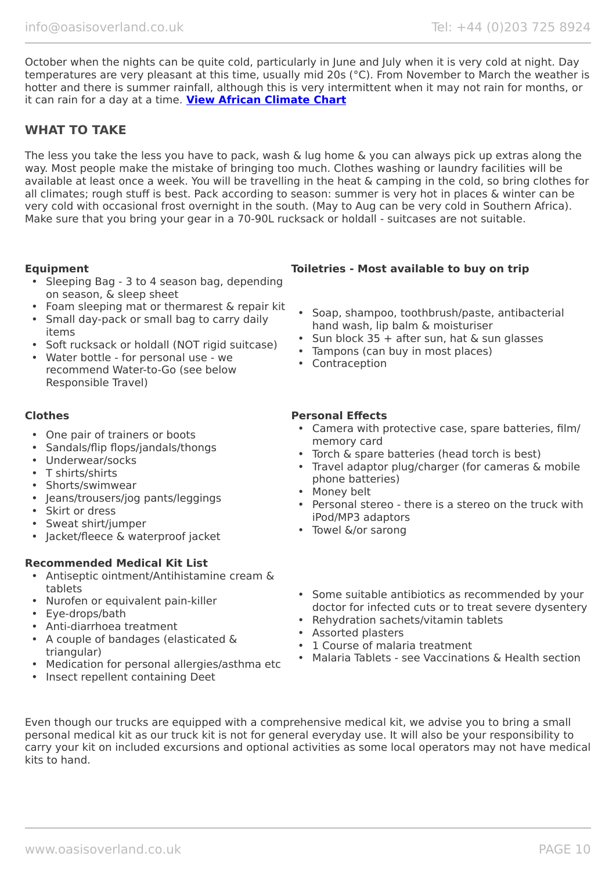October when the nights can be quite cold, particularly in June and July when it is very cold at night. Day temperatures are very pleasant at this time, usually mid 20s (°C). From November to March the weather is hotter and there is summer rainfall, although this is very intermittent when it may not rain for months, or it can rain for a day at a time. **[View African Climate Chart](https://www.oasisoverland.co.uk/africa-climate-chart)**

# **WHAT TO TAKE**

The less you take the less you have to pack, wash & lug home & you can always pick up extras along the way. Most people make the mistake of bringing too much. Clothes washing or laundry facilities will be available at least once a week. You will be travelling in the heat & camping in the cold, so bring clothes for all climates; rough stuff is best. Pack according to season: summer is very hot in places & winter can be very cold with occasional frost overnight in the south. (May to Aug can be very cold in Southern Africa). Make sure that you bring your gear in a 70-90L rucksack or holdall - suitcases are not suitable.

- Sleeping Bag 3 to 4 season bag, depending on season, & sleep sheet
- Foam sleeping mat or thermarest & repair kit
- Small day-pack or small bag to carry daily items
- Soft rucksack or holdall (NOT rigid suitcase)
- Water bottle for personal use we recommend Water-to-Go (see below Responsible Travel)

- One pair of trainers or boots
- Sandals/flip flops/jandals/thongs
- Underwear/socks
- T shirts/shirts
- Shorts/swimwear
- Jeans/trousers/jog pants/leggings
- Skirt or dress
- Sweat shirt/jumper
- Jacket/fleece & waterproof jacket

#### **Recommended Medical Kit List**

- Antiseptic ointment/Antihistamine cream & tablets
- Nurofen or equivalent pain-killer
- Eye-drops/bath
- Anti-diarrhoea treatment
- A couple of bandages (elasticated & triangular)
- Medication for personal allergies/asthma etc
- Insect repellent containing Deet

### **Equipment Toiletries - Most available to buy on trip**

- Soap, shampoo, toothbrush/paste, antibacterial hand wash, lip balm & moisturiser
- Sun block  $35 +$  after sun, hat & sun glasses
- Tampons (can buy in most places)
- Contraception

### **Clothes Personal Effects**

- Camera with protective case, spare batteries, film/ memory card
- Torch & spare batteries (head torch is best)
- Travel adaptor plug/charger (for cameras & mobile phone batteries)
- Money belt
- Personal stereo there is a stereo on the truck with iPod/MP3 adaptors
- Towel &/or sarong
- Some suitable antibiotics as recommended by your doctor for infected cuts or to treat severe dysentery
- Rehydration sachets/vitamin tablets
- Assorted plasters
- 1 Course of malaria treatment
- Malaria Tablets see Vaccinations & Health section

Even though our trucks are equipped with a comprehensive medical kit, we advise you to bring a small personal medical kit as our truck kit is not for general everyday use. It will also be your responsibility to carry your kit on included excursions and optional activities as some local operators may not have medical kits to hand.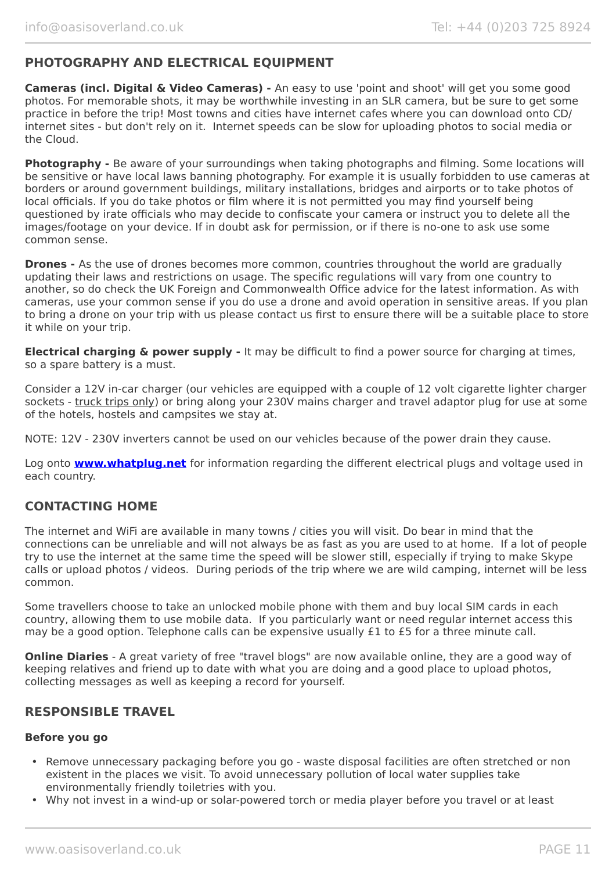# **PHOTOGRAPHY AND ELECTRICAL EQUIPMENT**

**Cameras (incl. Digital & Video Cameras) -** An easy to use 'point and shoot' will get you some good photos. For memorable shots, it may be worthwhile investing in an SLR camera, but be sure to get some practice in before the trip! Most towns and cities have internet cafes where you can download onto CD/ internet sites - but don't rely on it. Internet speeds can be slow for uploading photos to social media or the Cloud.

**Photography -** Be aware of your surroundings when taking photographs and filming. Some locations will be sensitive or have local laws banning photography. For example it is usually forbidden to use cameras at borders or around government buildings, military installations, bridges and airports or to take photos of local officials. If you do take photos or film where it is not permitted you may find yourself being questioned by irate officials who may decide to confiscate your camera or instruct you to delete all the images/footage on your device. If in doubt ask for permission, or if there is no-one to ask use some common sense.

**Drones -** As the use of drones becomes more common, countries throughout the world are gradually updating their laws and restrictions on usage. The specific regulations will vary from one country to another, so do check the UK Foreign and Commonwealth Office advice for the latest information. As with cameras, use your common sense if you do use a drone and avoid operation in sensitive areas. If you plan to bring a drone on your trip with us please contact us first to ensure there will be a suitable place to store it while on your trip.

**Electrical charging & power supply -** It may be difficult to find a power source for charging at times, so a spare battery is a must.

Consider a 12V in-car charger (our vehicles are equipped with a couple of 12 volt cigarette lighter charger sockets - truck trips only) or bring along your 230V mains charger and travel adaptor plug for use at some of the hotels, hostels and campsites we stay at.

NOTE: 12V - 230V inverters cannot be used on our vehicles because of the power drain they cause.

Log onto **[www.whatplug.net](http://www.whatplug.net/)** for information regarding the different electrical plugs and voltage used in each country.

# **CONTACTING HOME**

The internet and WiFi are available in many towns / cities you will visit. Do bear in mind that the connections can be unreliable and will not always be as fast as you are used to at home. If a lot of people try to use the internet at the same time the speed will be slower still, especially if trying to make Skype calls or upload photos / videos. During periods of the trip where we are wild camping, internet will be less common.

Some travellers choose to take an unlocked mobile phone with them and buy local SIM cards in each country, allowing them to use mobile data. If you particularly want or need regular internet access this may be a good option. Telephone calls can be expensive usually £1 to £5 for a three minute call.

**Online Diaries** - A great variety of free "travel blogs" are now available online, they are a good way of keeping relatives and friend up to date with what you are doing and a good place to upload photos, collecting messages as well as keeping a record for yourself.

### **RESPONSIBLE TRAVEL**

#### **Before you go**

- Remove unnecessary packaging before you go waste disposal facilities are often stretched or non existent in the places we visit. To avoid unnecessary pollution of local water supplies take environmentally friendly toiletries with you.
- Why not invest in a wind-up or solar-powered torch or media player before you travel or at least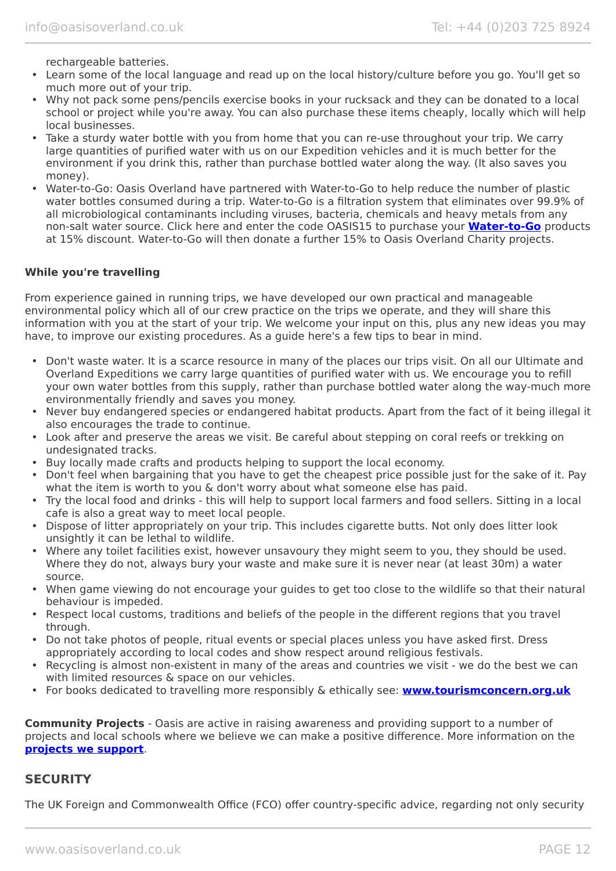rechargeable batteries.

- Learn some of the local language and read up on the local history/culture before you go. You'll get so much more out of your trip.
- Why not pack some pens/pencils exercise books in your rucksack and they can be donated to a local school or project while you're away. You can also purchase these items cheaply, locally which will help local businesses.
- Take a sturdy water bottle with you from home that you can re-use throughout your trip. We carry large quantities of purified water with us on our Expedition vehicles and it is much better for the environment if you drink this, rather than purchase bottled water along the way. (It also saves you money).
- Water-to-Go: Oasis Overland have partnered with Water-to-Go to help reduce the number of plastic water bottles consumed during a trip. Water-to-Go is a filtration system that eliminates over 99.9% of all microbiological contaminants including viruses, bacteria, chemicals and heavy metals from any non-salt water source. Click here and enter the code OASIS15 to purchase your **[Water-to-Go](https://watertogo.eu/partnerships/oasisoverland/)** products at 15% discount. Water-to-Go will then donate a further 15% to Oasis Overland Charity projects.

#### **While you're travelling**

From experience gained in running trips, we have developed our own practical and manageable environmental policy which all of our crew practice on the trips we operate, and they will share this information with you at the start of your trip. We welcome your input on this, plus any new ideas you may have, to improve our existing procedures. As a guide here's a few tips to bear in mind.

- Don't waste water. It is a scarce resource in many of the places our trips visit. On all our Ultimate and Overland Expeditions we carry large quantities of purified water with us. We encourage you to refill your own water bottles from this supply, rather than purchase bottled water along the way-much more environmentally friendly and saves you money.
- Never buy endangered species or endangered habitat products. Apart from the fact of it being illegal it also encourages the trade to continue.
- Look after and preserve the areas we visit. Be careful about stepping on coral reefs or trekking on undesignated tracks.
- Buy locally made crafts and products helping to support the local economy.
- Don't feel when bargaining that you have to get the cheapest price possible just for the sake of it. Pay what the item is worth to you & don't worry about what someone else has paid.
- Try the local food and drinks this will help to support local farmers and food sellers. Sitting in a local cafe is also a great way to meet local people.
- Dispose of litter appropriately on your trip. This includes cigarette butts. Not only does litter look unsightly it can be lethal to wildlife.
- Where any toilet facilities exist, however unsavoury they might seem to you, they should be used. Where they do not, always bury your waste and make sure it is never near (at least 30m) a water source.
- When game viewing do not encourage your guides to get too close to the wildlife so that their natural behaviour is impeded.
- Respect local customs, traditions and beliefs of the people in the different regions that you travel through.
- Do not take photos of people, ritual events or special places unless you have asked first. Dress appropriately according to local codes and show respect around religious festivals.
- Recycling is almost non-existent in many of the areas and countries we visit we do the best we can with limited resources & space on our vehicles.
- For books dedicated to travelling more responsibly & ethically see: **[www.tourismconcern.org.uk](https://www.tourismconcern.org.uk/)**

**Community Projects** - Oasis are active in raising awareness and providing support to a number of projects and local schools where we believe we can make a positive difference. More information on the **[projects we support](https://www.oasisoverland.co.uk/responsible-travel/charities-we-support)**.

### **SECURITY**

The UK Foreign and Commonwealth Office (FCO) offer country-specific advice, regarding not only security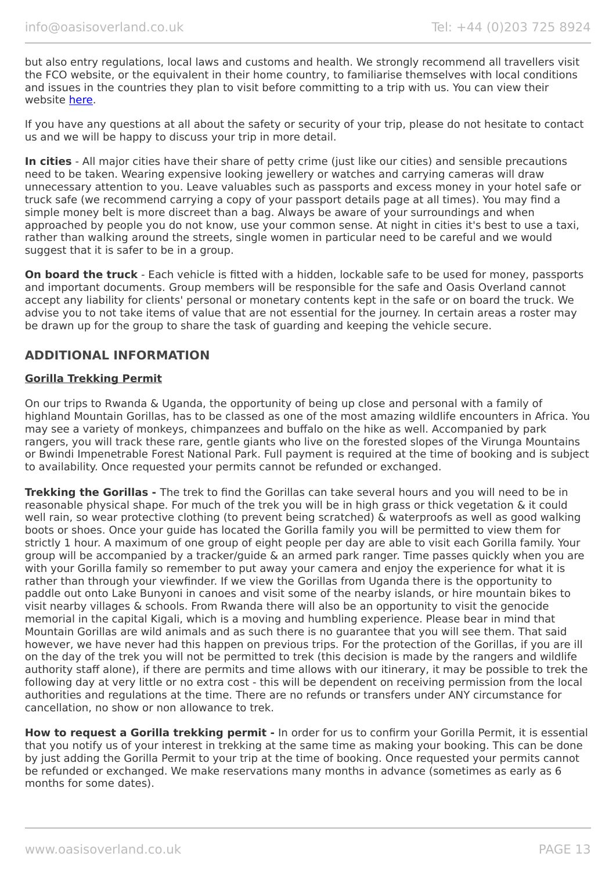but also entry regulations, local laws and customs and health. We strongly recommend all travellers visit the FCO website, or the equivalent in their home country, to familiarise themselves with local conditions and issues in the countries they plan to visit before committing to a trip with us. You can view their website [here.](https://www.gov.uk/foreign-travel-advice)

If you have any questions at all about the safety or security of your trip, please do not hesitate to contact us and we will be happy to discuss your trip in more detail.

**In cities** - All major cities have their share of petty crime (just like our cities) and sensible precautions need to be taken. Wearing expensive looking jewellery or watches and carrying cameras will draw unnecessary attention to you. Leave valuables such as passports and excess money in your hotel safe or truck safe (we recommend carrying a copy of your passport details page at all times). You may find a simple money belt is more discreet than a bag. Always be aware of your surroundings and when approached by people you do not know, use your common sense. At night in cities it's best to use a taxi, rather than walking around the streets, single women in particular need to be careful and we would suggest that it is safer to be in a group.

**On board the truck** - Each vehicle is fitted with a hidden, lockable safe to be used for money, passports and important documents. Group members will be responsible for the safe and Oasis Overland cannot accept any liability for clients' personal or monetary contents kept in the safe or on board the truck. We advise you to not take items of value that are not essential for the journey. In certain areas a roster may be drawn up for the group to share the task of guarding and keeping the vehicle secure.

# **ADDITIONAL INFORMATION**

#### **Gorilla Trekking Permit**

On our trips to Rwanda & Uganda, the opportunity of being up close and personal with a family of highland Mountain Gorillas, has to be classed as one of the most amazing wildlife encounters in Africa. You may see a variety of monkeys, chimpanzees and buffalo on the hike as well. Accompanied by park rangers, you will track these rare, gentle giants who live on the forested slopes of the Virunga Mountains or Bwindi Impenetrable Forest National Park. Full payment is required at the time of booking and is subject to availability. Once requested your permits cannot be refunded or exchanged.

**Trekking the Gorillas -** The trek to find the Gorillas can take several hours and you will need to be in reasonable physical shape. For much of the trek you will be in high grass or thick vegetation & it could well rain, so wear protective clothing (to prevent being scratched) & waterproofs as well as good walking boots or shoes. Once your guide has located the Gorilla family you will be permitted to view them for strictly 1 hour. A maximum of one group of eight people per day are able to visit each Gorilla family. Your group will be accompanied by a tracker/guide & an armed park ranger. Time passes quickly when you are with your Gorilla family so remember to put away your camera and enjoy the experience for what it is rather than through your viewfinder. If we view the Gorillas from Uganda there is the opportunity to paddle out onto Lake Bunyoni in canoes and visit some of the nearby islands, or hire mountain bikes to visit nearby villages & schools. From Rwanda there will also be an opportunity to visit the genocide memorial in the capital Kigali, which is a moving and humbling experience. Please bear in mind that Mountain Gorillas are wild animals and as such there is no guarantee that you will see them. That said however, we have never had this happen on previous trips. For the protection of the Gorillas, if you are ill on the day of the trek you will not be permitted to trek (this decision is made by the rangers and wildlife authority staff alone), if there are permits and time allows with our itinerary, it may be possible to trek the following day at very little or no extra cost - this will be dependent on receiving permission from the local authorities and regulations at the time. There are no refunds or transfers under ANY circumstance for cancellation, no show or non allowance to trek.

**How to request a Gorilla trekking permit -** In order for us to confirm your Gorilla Permit, it is essential that you notify us of your interest in trekking at the same time as making your booking. This can be done by just adding the Gorilla Permit to your trip at the time of booking. Once requested your permits cannot be refunded or exchanged. We make reservations many months in advance (sometimes as early as 6 months for some dates).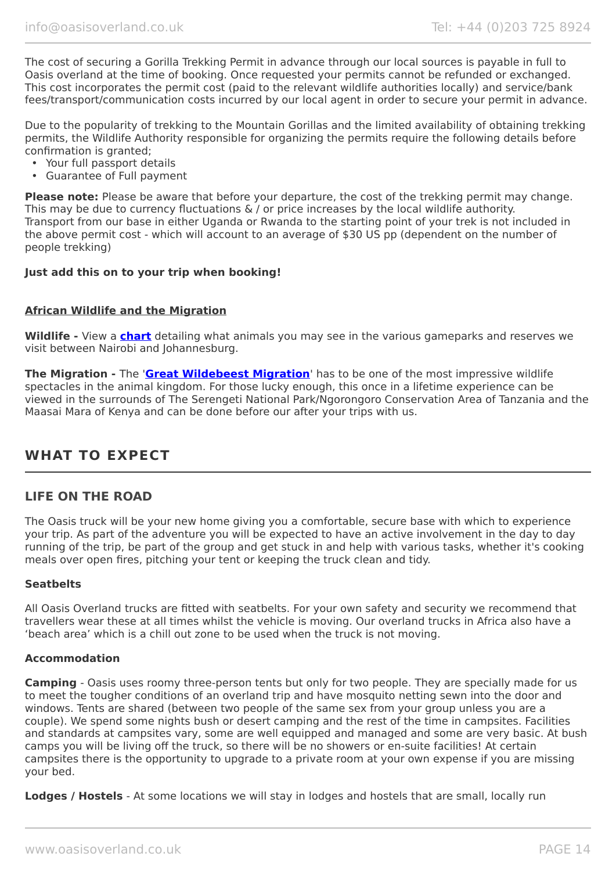The cost of securing a Gorilla Trekking Permit in advance through our local sources is payable in full to Oasis overland at the time of booking. Once requested your permits cannot be refunded or exchanged. This cost incorporates the permit cost (paid to the relevant wildlife authorities locally) and service/bank fees/transport/communication costs incurred by our local agent in order to secure your permit in advance.

Due to the popularity of trekking to the Mountain Gorillas and the limited availability of obtaining trekking permits, the Wildlife Authority responsible for organizing the permits require the following details before confirmation is granted;

- Your full passport details
- Guarantee of Full payment

**Please note:** Please be aware that before your departure, the cost of the trekking permit may change. This may be due to currency fluctuations & / or price increases by the local wildlife authority. Transport from our base in either Uganda or Rwanda to the starting point of your trek is not included in the above permit cost - which will account to an average of \$30 US pp (dependent on the number of people trekking)

#### **Just add this on to your trip when booking!**

#### **African Wildlife and the Migration**

**Wildlife -** View a **[chart](https://www.oasisoverland.co.uk/african-wildlife-chart)** detailing what animals you may see in the various gameparks and reserves we visit between Nairobi and Johannesburg.

**The Migration -** The '**[Great Wildebeest Migration](https://www.oasisoverland.co.uk/the-great-wildebeest-migration)**' has to be one of the most impressive wildlife spectacles in the animal kingdom. For those lucky enough, this once in a lifetime experience can be viewed in the surrounds of The Serengeti National Park/Ngorongoro Conservation Area of Tanzania and the Maasai Mara of Kenya and can be done before our after your trips with us.

# **WHAT TO EXPECT**

#### **LIFE ON THE ROAD**

The Oasis truck will be your new home giving you a comfortable, secure base with which to experience your trip. As part of the adventure you will be expected to have an active involvement in the day to day running of the trip, be part of the group and get stuck in and help with various tasks, whether it's cooking meals over open fires, pitching your tent or keeping the truck clean and tidy.

#### **Seatbelts**

All Oasis Overland trucks are fitted with seatbelts. For your own safety and security we recommend that travellers wear these at all times whilst the vehicle is moving. Our overland trucks in Africa also have a 'beach area' which is a chill out zone to be used when the truck is not moving.

#### **Accommodation**

**Camping** - Oasis uses roomy three-person tents but only for two people. They are specially made for us to meet the tougher conditions of an overland trip and have mosquito netting sewn into the door and windows. Tents are shared (between two people of the same sex from your group unless you are a couple). We spend some nights bush or desert camping and the rest of the time in campsites. Facilities and standards at campsites vary, some are well equipped and managed and some are very basic. At bush camps you will be living off the truck, so there will be no showers or en-suite facilities! At certain campsites there is the opportunity to upgrade to a private room at your own expense if you are missing your bed.

**Lodges / Hostels** - At some locations we will stay in lodges and hostels that are small, locally run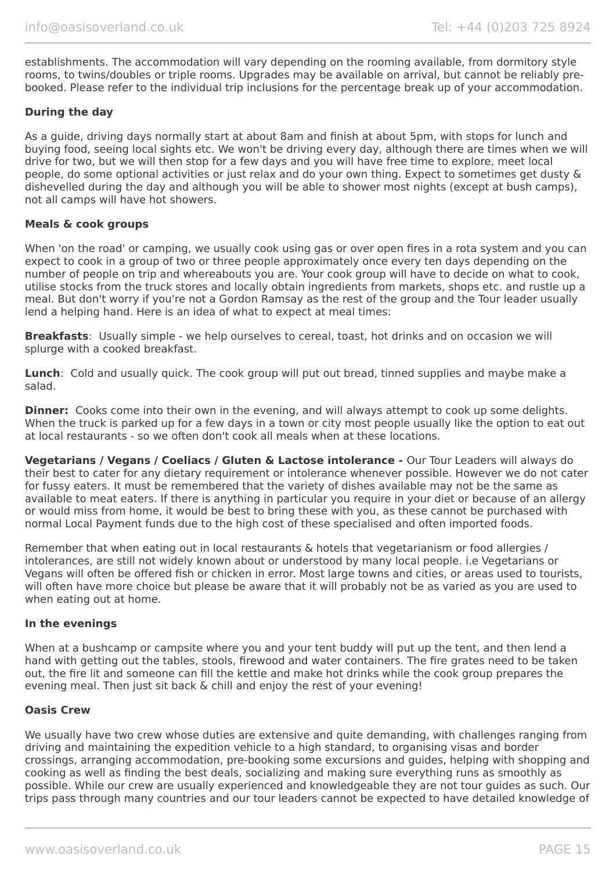establishments. The accommodation will vary depending on the rooming available, from dormitory style rooms, to twins/doubles or triple rooms. Upgrades may be available on arrival, but cannot be reliably prebooked. Please refer to the individual trip inclusions for the percentage break up of your accommodation.

#### **During the day**

As a guide, driving days normally start at about 8am and finish at about 5pm, with stops for lunch and buying food, seeing local sights etc. We won't be driving every day, although there are times when we will drive for two, but we will then stop for a few days and you will have free time to explore, meet local people, do some optional activities or just relax and do your own thing. Expect to sometimes get dusty & dishevelled during the day and although you will be able to shower most nights (except at bush camps), not all camps will have hot showers.

#### **Meals & cook groups**

When 'on the road' or camping, we usually cook using gas or over open fires in a rota system and you can expect to cook in a group of two or three people approximately once every ten days depending on the number of people on trip and whereabouts you are. Your cook group will have to decide on what to cook, utilise stocks from the truck stores and locally obtain ingredients from markets, shops etc. and rustle up a meal. But don't worry if you're not a Gordon Ramsay as the rest of the group and the Tour leader usually lend a helping hand. Here is an idea of what to expect at meal times:

**Breakfasts**: Usually simple - we help ourselves to cereal, toast, hot drinks and on occasion we will splurge with a cooked breakfast.

**Lunch**: Cold and usually quick. The cook group will put out bread, tinned supplies and maybe make a salad.

**Dinner:** Cooks come into their own in the evening, and will always attempt to cook up some delights. When the truck is parked up for a few days in a town or city most people usually like the option to eat out at local restaurants - so we often don't cook all meals when at these locations.

**Vegetarians / Vegans / Coeliacs / Gluten & Lactose intolerance -** Our Tour Leaders will always do their best to cater for any dietary requirement or intolerance whenever possible. However we do not cater for fussy eaters. It must be remembered that the variety of dishes available may not be the same as available to meat eaters. If there is anything in particular you require in your diet or because of an allergy or would miss from home, it would be best to bring these with you, as these cannot be purchased with normal Local Payment funds due to the high cost of these specialised and often imported foods.

Remember that when eating out in local restaurants & hotels that vegetarianism or food allergies / intolerances, are still not widely known about or understood by many local people. i.e Vegetarians or Vegans will often be offered fish or chicken in error. Most large towns and cities, or areas used to tourists, will often have more choice but please be aware that it will probably not be as varied as you are used to when eating out at home.

#### **In the evenings**

When at a bushcamp or campsite where you and your tent buddy will put up the tent, and then lend a hand with getting out the tables, stools, firewood and water containers. The fire grates need to be taken out, the fire lit and someone can fill the kettle and make hot drinks while the cook group prepares the evening meal. Then just sit back & chill and enjoy the rest of your evening!

#### **Oasis Crew**

We usually have two crew whose duties are extensive and quite demanding, with challenges ranging from driving and maintaining the expedition vehicle to a high standard, to organising visas and border crossings, arranging accommodation, pre-booking some excursions and guides, helping with shopping and cooking as well as finding the best deals, socializing and making sure everything runs as smoothly as possible. While our crew are usually experienced and knowledgeable they are not tour guides as such. Our trips pass through many countries and our tour leaders cannot be expected to have detailed knowledge of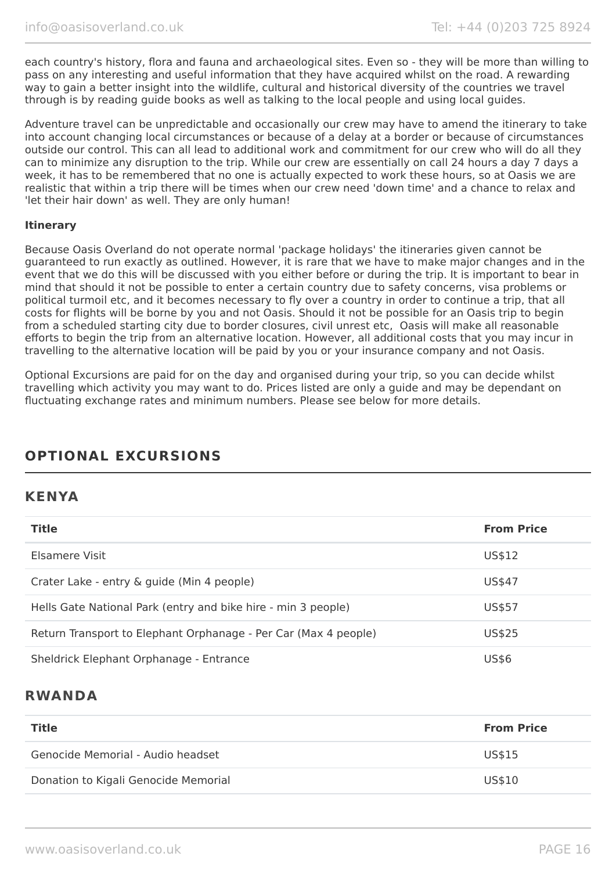each country's history, flora and fauna and archaeological sites. Even so - they will be more than willing to pass on any interesting and useful information that they have acquired whilst on the road. A rewarding way to gain a better insight into the wildlife, cultural and historical diversity of the countries we travel through is by reading guide books as well as talking to the local people and using local guides.

Adventure travel can be unpredictable and occasionally our crew may have to amend the itinerary to take into account changing local circumstances or because of a delay at a border or because of circumstances outside our control. This can all lead to additional work and commitment for our crew who will do all they can to minimize any disruption to the trip. While our crew are essentially on call 24 hours a day 7 days a week, it has to be remembered that no one is actually expected to work these hours, so at Oasis we are realistic that within a trip there will be times when our crew need 'down time' and a chance to relax and 'let their hair down' as well. They are only human!

#### **Itinerary**

Because Oasis Overland do not operate normal 'package holidays' the itineraries given cannot be guaranteed to run exactly as outlined. However, it is rare that we have to make major changes and in the event that we do this will be discussed with you either before or during the trip. It is important to bear in mind that should it not be possible to enter a certain country due to safety concerns, visa problems or political turmoil etc, and it becomes necessary to fly over a country in order to continue a trip, that all costs for flights will be borne by you and not Oasis. Should it not be possible for an Oasis trip to begin from a scheduled starting city due to border closures, civil unrest etc, Oasis will make all reasonable efforts to begin the trip from an alternative location. However, all additional costs that you may incur in travelling to the alternative location will be paid by you or your insurance company and not Oasis.

Optional Excursions are paid for on the day and organised during your trip, so you can decide whilst travelling which activity you may want to do. Prices listed are only a guide and may be dependant on fluctuating exchange rates and minimum numbers. Please see below for more details.

# **OPTIONAL EXCURSIONS**

# **KENYA**

| <b>Title</b>                                                    | <b>From Price</b> |
|-----------------------------------------------------------------|-------------------|
| Elsamere Visit                                                  | US\$12            |
| Crater Lake - entry & guide (Min 4 people)                      | US\$47            |
| Hells Gate National Park (entry and bike hire - min 3 people)   | US\$57            |
| Return Transport to Elephant Orphanage - Per Car (Max 4 people) | US\$25            |
| Sheldrick Elephant Orphanage - Entrance                         | <b>US\$6</b>      |

# **RWANDA**

| Title                                | <b>From Price</b> |
|--------------------------------------|-------------------|
| Genocide Memorial - Audio headset    | US\$15            |
| Donation to Kigali Genocide Memorial | US\$10            |